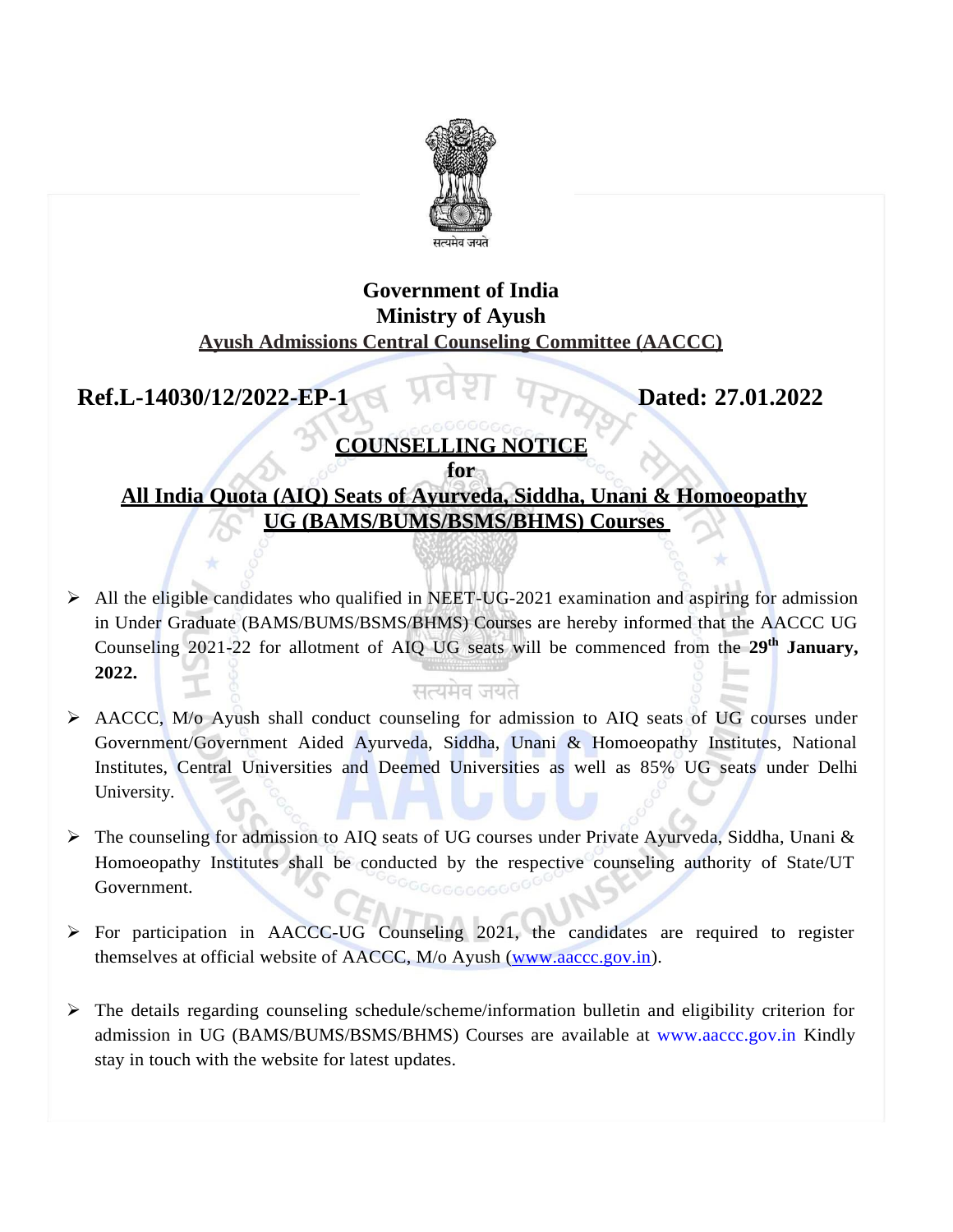

### **Government of India Ministry of Ayush Ayush Admissions Central Counseling Committee (AACCC)**

## **Ref.L-14030/12/2022-EP-1 Dated:** 27.01.2022

# **COUNSELLING NOTICE**

**for All India Quota (AIQ) Seats of Ayurveda, Siddha, Unani & Homoeopathy UG (BAMS/BUMS/BSMS/BHMS) Courses** 

 $\triangleright$  All the eligible candidates who qualified in NEET-UG-2021 examination and aspiring for admission in Under Graduate (BAMS/BUMS/BSMS/BHMS) Courses are hereby informed that the AACCC UG Counseling 2021-22 for allotment of AIQ UG seats will be commenced from the **29th January, 2022.**

### सत्यमेव जयते

- AACCC, M/o Ayush shall conduct counseling for admission to AIQ seats of UG courses under Government/Government Aided Ayurveda, Siddha, Unani & Homoeopathy Institutes, National Institutes, Central Universities and Deemed Universities as well as 85% UG seats under Delhi University.
- $\triangleright$  The counseling for admission to AIQ seats of UG courses under Private Ayurveda, Siddha, Unani & Homoeopathy Institutes shall be conducted by the respective counseling authority of State/UT Government.
- $\triangleright$  For participation in AACCC-UG Counseling 2021, the candidates are required to register themselves at official website of AACCC, M/o Ayush [\(www.aaccc.gov.in\)](http://www.aaccc.gov.in/).
- $\triangleright$  The details regarding counseling schedule/scheme/information bulletin and eligibility criterion for admission in UG (BAMS/BUMS/BSMS/BHMS) Courses are available at [www.aaccc.gov.in K](http://www.aaccc.gov.in/)indly stay in touch with the website for latest updates.